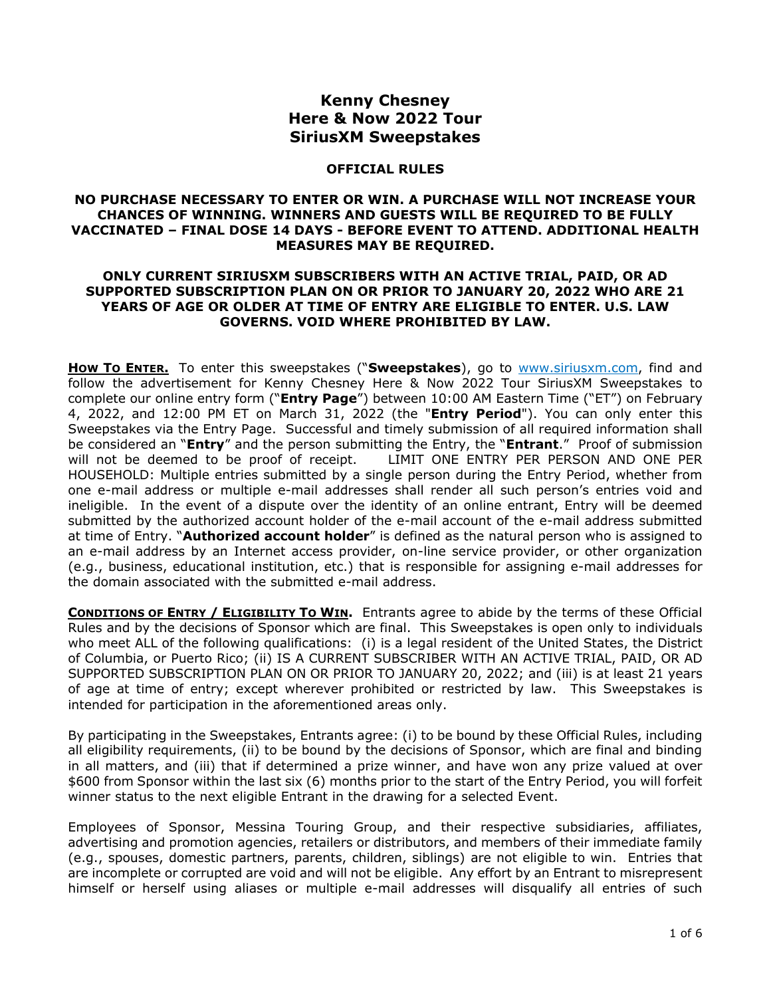# **Kenny Chesney Here & Now 2022 Tour SiriusXM Sweepstakes**

### **OFFICIAL RULES**

#### **NO PURCHASE NECESSARY TO ENTER OR WIN. A PURCHASE WILL NOT INCREASE YOUR CHANCES OF WINNING. WINNERS AND GUESTS WILL BE REQUIRED TO BE FULLY VACCINATED – FINAL DOSE 14 DAYS - BEFORE EVENT TO ATTEND. ADDITIONAL HEALTH MEASURES MAY BE REQUIRED.**

## **ONLY CURRENT SIRIUSXM SUBSCRIBERS WITH AN ACTIVE TRIAL, PAID, OR AD SUPPORTED SUBSCRIPTION PLAN ON OR PRIOR TO JANUARY 20, 2022 WHO ARE 21 YEARS OF AGE OR OLDER AT TIME OF ENTRY ARE ELIGIBLE TO ENTER. U.S. LAW GOVERNS. VOID WHERE PROHIBITED BY LAW.**

**How To ENTER.** To enter this sweepstakes ("Sweepstakes), go to [www.siriusxm.com,](http://www.siriusxm.com/) find and follow the advertisement for Kenny Chesney Here & Now 2022 Tour SiriusXM Sweepstakes to complete our online entry form ("**Entry Page**") between 10:00 AM Eastern Time ("ET") on February 4, 2022, and 12:00 PM ET on March 31, 2022 (the "**Entry Period**"). You can only enter this Sweepstakes via the Entry Page. Successful and timely submission of all required information shall be considered an "**Entry**" and the person submitting the Entry, the "**Entrant**." Proof of submission will not be deemed to be proof of receipt. LIMIT ONE ENTRY PER PERSON AND ONE PER HOUSEHOLD: Multiple entries submitted by a single person during the Entry Period, whether from one e-mail address or multiple e-mail addresses shall render all such person's entries void and ineligible. In the event of a dispute over the identity of an online entrant, Entry will be deemed submitted by the authorized account holder of the e-mail account of the e-mail address submitted at time of Entry. "**Authorized account holder**" is defined as the natural person who is assigned to an e-mail address by an Internet access provider, on-line service provider, or other organization (e.g., business, educational institution, etc.) that is responsible for assigning e-mail addresses for the domain associated with the submitted e-mail address.

**CONDITIONS OF ENTRY / ELIGIBILITY TO WIN.** Entrants agree to abide by the terms of these Official Rules and by the decisions of Sponsor which are final. This Sweepstakes is open only to individuals who meet ALL of the following qualifications: (i) is a legal resident of the United States, the District of Columbia, or Puerto Rico; (ii) IS A CURRENT SUBSCRIBER WITH AN ACTIVE TRIAL, PAID, OR AD SUPPORTED SUBSCRIPTION PLAN ON OR PRIOR TO JANUARY 20, 2022; and (iii) is at least 21 years of age at time of entry; except wherever prohibited or restricted by law. This Sweepstakes is intended for participation in the aforementioned areas only.

By participating in the Sweepstakes, Entrants agree: (i) to be bound by these Official Rules, including all eligibility requirements, (ii) to be bound by the decisions of Sponsor, which are final and binding in all matters, and (iii) that if determined a prize winner, and have won any prize valued at over \$600 from Sponsor within the last six (6) months prior to the start of the Entry Period, you will forfeit winner status to the next eligible Entrant in the drawing for a selected Event.

Employees of Sponsor, Messina Touring Group, and their respective subsidiaries, affiliates, advertising and promotion agencies, retailers or distributors, and members of their immediate family (e.g., spouses, domestic partners, parents, children, siblings) are not eligible to win. Entries that are incomplete or corrupted are void and will not be eligible. Any effort by an Entrant to misrepresent himself or herself using aliases or multiple e-mail addresses will disqualify all entries of such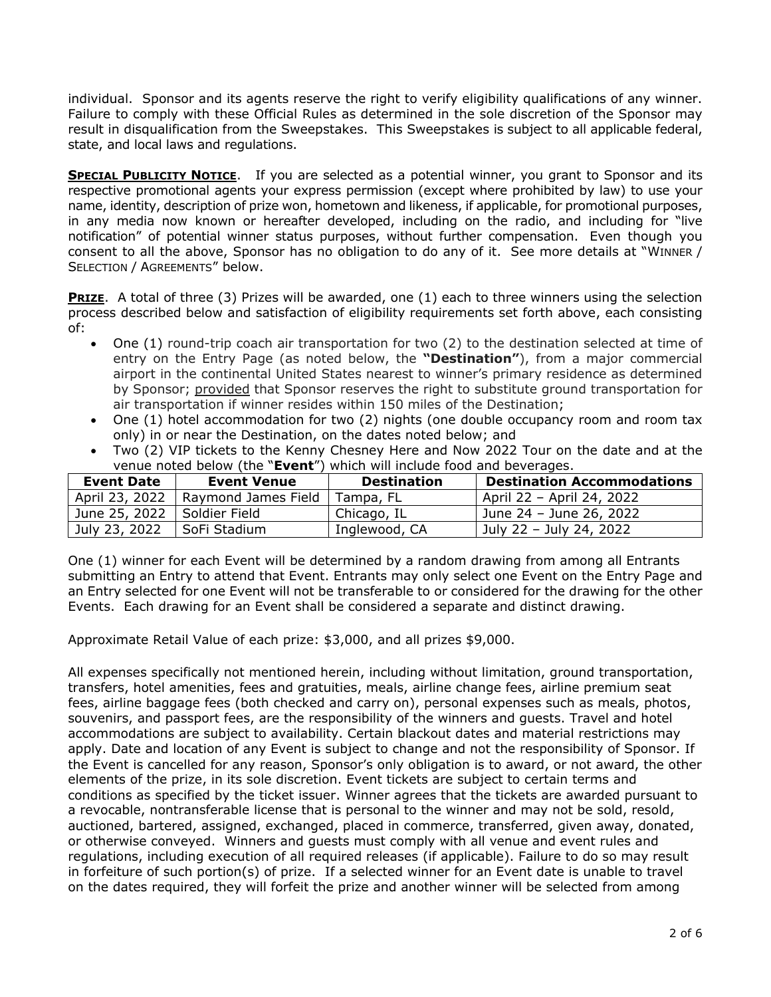individual. Sponsor and its agents reserve the right to verify eligibility qualifications of any winner. Failure to comply with these Official Rules as determined in the sole discretion of the Sponsor may result in disqualification from the Sweepstakes. This Sweepstakes is subject to all applicable federal, state, and local laws and regulations.

**SPECIAL PUBLICITY NOTICE.** If you are selected as a potential winner, you grant to Sponsor and its respective promotional agents your express permission (except where prohibited by law) to use your name, identity, description of prize won, hometown and likeness, if applicable, for promotional purposes, in any media now known or hereafter developed, including on the radio, and including for "live notification" of potential winner status purposes, without further compensation. Even though you consent to all the above, Sponsor has no obligation to do any of it. See more details at "WINNER / SELECTION / AGREEMENTS" below.

**PRIZE.** A total of three (3) Prizes will be awarded, one (1) each to three winners using the selection process described below and satisfaction of eligibility requirements set forth above, each consisting of:

- One (1) round-trip coach air transportation for two (2) to the destination selected at time of entry on the Entry Page (as noted below, the **"Destination"**), from a major commercial airport in the continental United States nearest to winner's primary residence as determined by Sponsor; provided that Sponsor reserves the right to substitute ground transportation for air transportation if winner resides within 150 miles of the Destination;
- One (1) hotel accommodation for two (2) nights (one double occupancy room and room tax only) in or near the Destination, on the dates noted below; and
- Two (2) VIP tickets to the Kenny Chesney Here and Now 2022 Tour on the date and at the venue noted below (the "**Event**") which will include food and beverages.

| Event Date     | <b>Event Venue</b>  | <b>Destination</b> | <b>Destination Accommodations</b> |
|----------------|---------------------|--------------------|-----------------------------------|
| April 23, 2022 | Raymond James Field | Tampa, FL          | April 22 - April 24, 2022         |
| June 25, 2022  | l Soldier Field     | Chicago, IL        | June 24 - June 26, 2022           |
| July 23, 2022  | ' SoFi Stadium      | Inglewood, CA      | July 22 - July 24, 2022           |

One (1) winner for each Event will be determined by a random drawing from among all Entrants submitting an Entry to attend that Event. Entrants may only select one Event on the Entry Page and an Entry selected for one Event will not be transferable to or considered for the drawing for the other Events. Each drawing for an Event shall be considered a separate and distinct drawing.

Approximate Retail Value of each prize: \$3,000, and all prizes \$9,000.

All expenses specifically not mentioned herein, including without limitation, ground transportation, transfers, hotel amenities, fees and gratuities, meals, airline change fees, airline premium seat fees, airline baggage fees (both checked and carry on), personal expenses such as meals, photos, souvenirs, and passport fees, are the responsibility of the winners and guests. Travel and hotel accommodations are subject to availability. Certain blackout dates and material restrictions may apply. Date and location of any Event is subject to change and not the responsibility of Sponsor. If the Event is cancelled for any reason, Sponsor's only obligation is to award, or not award, the other elements of the prize, in its sole discretion. Event tickets are subject to certain terms and conditions as specified by the ticket issuer. Winner agrees that the tickets are awarded pursuant to a revocable, nontransferable license that is personal to the winner and may not be sold, resold, auctioned, bartered, assigned, exchanged, placed in commerce, transferred, given away, donated, or otherwise conveyed. Winners and guests must comply with all venue and event rules and regulations, including execution of all required releases (if applicable). Failure to do so may result in forfeiture of such portion(s) of prize. If a selected winner for an Event date is unable to travel on the dates required, they will forfeit the prize and another winner will be selected from among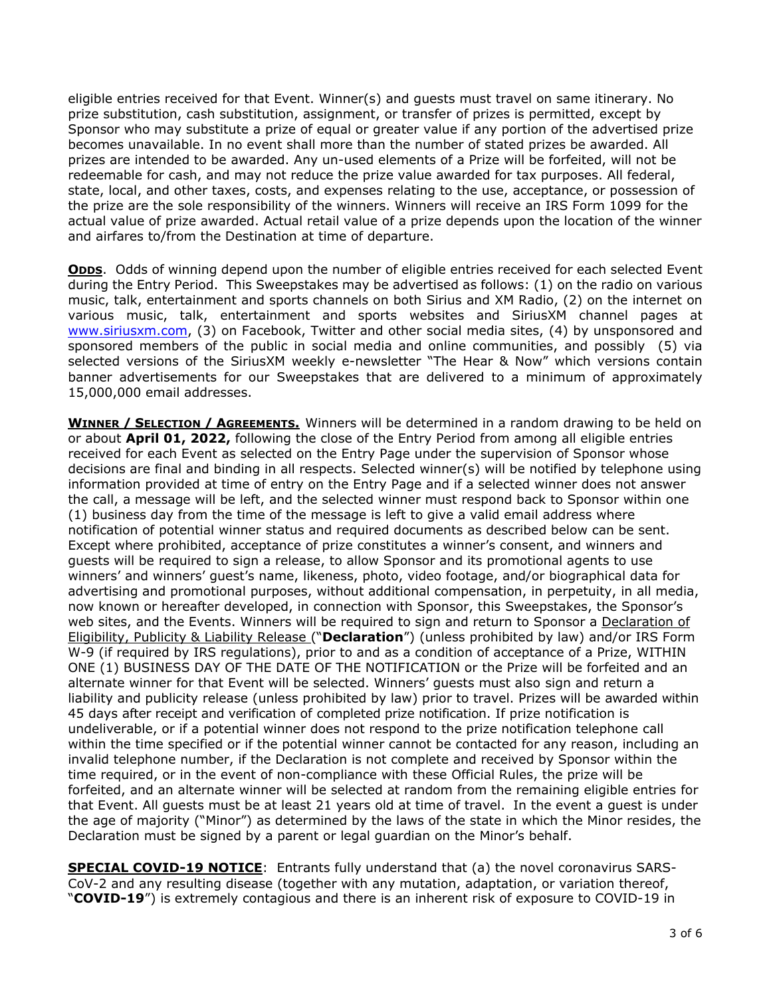eligible entries received for that Event. Winner(s) and guests must travel on same itinerary. No prize substitution, cash substitution, assignment, or transfer of prizes is permitted, except by Sponsor who may substitute a prize of equal or greater value if any portion of the advertised prize becomes unavailable. In no event shall more than the number of stated prizes be awarded. All prizes are intended to be awarded. Any un-used elements of a Prize will be forfeited, will not be redeemable for cash, and may not reduce the prize value awarded for tax purposes. All federal, state, local, and other taxes, costs, and expenses relating to the use, acceptance, or possession of the prize are the sole responsibility of the winners. Winners will receive an IRS Form 1099 for the actual value of prize awarded. Actual retail value of a prize depends upon the location of the winner and airfares to/from the Destination at time of departure.

**ODDS.** Odds of winning depend upon the number of eligible entries received for each selected Event during the Entry Period. This Sweepstakes may be advertised as follows: (1) on the radio on various music, talk, entertainment and sports channels on both Sirius and XM Radio, (2) on the internet on various music, talk, entertainment and sports websites and SiriusXM channel pages at [www.siriusxm.com,](http://www.siriusxm.com/) (3) on Facebook, Twitter and other social media sites, (4) by unsponsored and sponsored members of the public in social media and online communities, and possibly (5) via selected versions of the SiriusXM weekly e-newsletter "The Hear & Now" which versions contain banner advertisements for our Sweepstakes that are delivered to a minimum of approximately 15,000,000 email addresses.

**WINNER / SELECTION / AGREEMENTS.** Winners will be determined in a random drawing to be held on or about **April 01, 2022,** following the close of the Entry Period from among all eligible entries received for each Event as selected on the Entry Page under the supervision of Sponsor whose decisions are final and binding in all respects. Selected winner(s) will be notified by telephone using information provided at time of entry on the Entry Page and if a selected winner does not answer the call, a message will be left, and the selected winner must respond back to Sponsor within one (1) business day from the time of the message is left to give a valid email address where notification of potential winner status and required documents as described below can be sent. Except where prohibited, acceptance of prize constitutes a winner's consent, and winners and guests will be required to sign a release, to allow Sponsor and its promotional agents to use winners' and winners' guest's name, likeness, photo, video footage, and/or biographical data for advertising and promotional purposes, without additional compensation, in perpetuity, in all media, now known or hereafter developed, in connection with Sponsor, this Sweepstakes, the Sponsor's web sites, and the Events. Winners will be required to sign and return to Sponsor a Declaration of Eligibility, Publicity & Liability Release ("**Declaration**") (unless prohibited by law) and/or IRS Form W-9 (if required by IRS regulations), prior to and as a condition of acceptance of a Prize, WITHIN ONE (1) BUSINESS DAY OF THE DATE OF THE NOTIFICATION or the Prize will be forfeited and an alternate winner for that Event will be selected. Winners' guests must also sign and return a liability and publicity release (unless prohibited by law) prior to travel. Prizes will be awarded within 45 days after receipt and verification of completed prize notification. If prize notification is undeliverable, or if a potential winner does not respond to the prize notification telephone call within the time specified or if the potential winner cannot be contacted for any reason, including an invalid telephone number, if the Declaration is not complete and received by Sponsor within the time required, or in the event of non-compliance with these Official Rules, the prize will be forfeited, and an alternate winner will be selected at random from the remaining eligible entries for that Event. All guests must be at least 21 years old at time of travel. In the event a guest is under the age of majority ("Minor") as determined by the laws of the state in which the Minor resides, the Declaration must be signed by a parent or legal guardian on the Minor's behalf.

**SPECIAL COVID-19 NOTICE**: Entrants fully understand that (a) the novel coronavirus SARS-CoV-2 and any resulting disease (together with any mutation, adaptation, or variation thereof, "**COVID-19**") is extremely contagious and there is an inherent risk of exposure to COVID-19 in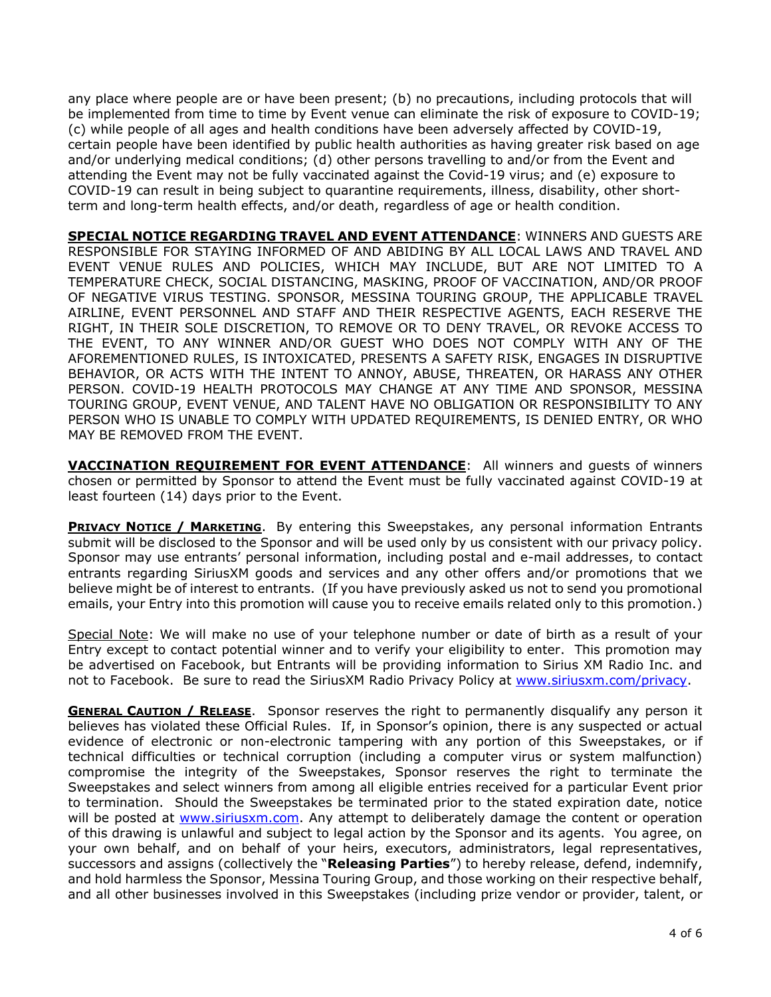any place where people are or have been present; (b) no precautions, including protocols that will be implemented from time to time by Event venue can eliminate the risk of exposure to COVID-19; (c) while people of all ages and health conditions have been adversely affected by COVID-19, certain people have been identified by public health authorities as having greater risk based on age and/or underlying medical conditions; (d) other persons travelling to and/or from the Event and attending the Event may not be fully vaccinated against the Covid-19 virus; and (e) exposure to COVID-19 can result in being subject to quarantine requirements, illness, disability, other shortterm and long-term health effects, and/or death, regardless of age or health condition.

**SPECIAL NOTICE REGARDING TRAVEL AND EVENT ATTENDANCE**: WINNERS AND GUESTS ARE RESPONSIBLE FOR STAYING INFORMED OF AND ABIDING BY ALL LOCAL LAWS AND TRAVEL AND EVENT VENUE RULES AND POLICIES, WHICH MAY INCLUDE, BUT ARE NOT LIMITED TO A TEMPERATURE CHECK, SOCIAL DISTANCING, MASKING, PROOF OF VACCINATION, AND/OR PROOF OF NEGATIVE VIRUS TESTING. SPONSOR, MESSINA TOURING GROUP, THE APPLICABLE TRAVEL AIRLINE, EVENT PERSONNEL AND STAFF AND THEIR RESPECTIVE AGENTS, EACH RESERVE THE RIGHT, IN THEIR SOLE DISCRETION, TO REMOVE OR TO DENY TRAVEL, OR REVOKE ACCESS TO THE EVENT, TO ANY WINNER AND/OR GUEST WHO DOES NOT COMPLY WITH ANY OF THE AFOREMENTIONED RULES, IS INTOXICATED, PRESENTS A SAFETY RISK, ENGAGES IN DISRUPTIVE BEHAVIOR, OR ACTS WITH THE INTENT TO ANNOY, ABUSE, THREATEN, OR HARASS ANY OTHER PERSON. COVID-19 HEALTH PROTOCOLS MAY CHANGE AT ANY TIME AND SPONSOR, MESSINA TOURING GROUP, EVENT VENUE, AND TALENT HAVE NO OBLIGATION OR RESPONSIBILITY TO ANY PERSON WHO IS UNABLE TO COMPLY WITH UPDATED REQUIREMENTS, IS DENIED ENTRY, OR WHO MAY BE REMOVED FROM THE EVENT.

**VACCINATION REQUIREMENT FOR EVENT ATTENDANCE**: All winners and guests of winners chosen or permitted by Sponsor to attend the Event must be fully vaccinated against COVID-19 at least fourteen (14) days prior to the Event.

**PRIVACY NOTICE / MARKETING**. By entering this Sweepstakes, any personal information Entrants submit will be disclosed to the Sponsor and will be used only by us consistent with our privacy policy. Sponsor may use entrants' personal information, including postal and e-mail addresses, to contact entrants regarding SiriusXM goods and services and any other offers and/or promotions that we believe might be of interest to entrants. (If you have previously asked us not to send you promotional emails, your Entry into this promotion will cause you to receive emails related only to this promotion.)

Special Note: We will make no use of your telephone number or date of birth as a result of your Entry except to contact potential winner and to verify your eligibility to enter. This promotion may be advertised on Facebook, but Entrants will be providing information to Sirius XM Radio Inc. and not to Facebook. Be sure to read the SiriusXM Radio Privacy Policy at [www.siriusxm.com/privacy.](http://www.siriusxm.com/privacy)

**GENERAL CAUTION / RELEASE.** Sponsor reserves the right to permanently disqualify any person it believes has violated these Official Rules. If, in Sponsor's opinion, there is any suspected or actual evidence of electronic or non-electronic tampering with any portion of this Sweepstakes, or if technical difficulties or technical corruption (including a computer virus or system malfunction) compromise the integrity of the Sweepstakes, Sponsor reserves the right to terminate the Sweepstakes and select winners from among all eligible entries received for a particular Event prior to termination. Should the Sweepstakes be terminated prior to the stated expiration date, notice will be posted at [www.siriusxm.com.](http://www.siriusxm.com/) Any attempt to deliberately damage the content or operation of this drawing is unlawful and subject to legal action by the Sponsor and its agents. You agree, on your own behalf, and on behalf of your heirs, executors, administrators, legal representatives, successors and assigns (collectively the "**Releasing Parties**") to hereby release, defend, indemnify, and hold harmless the Sponsor, Messina Touring Group, and those working on their respective behalf, and all other businesses involved in this Sweepstakes (including prize vendor or provider, talent, or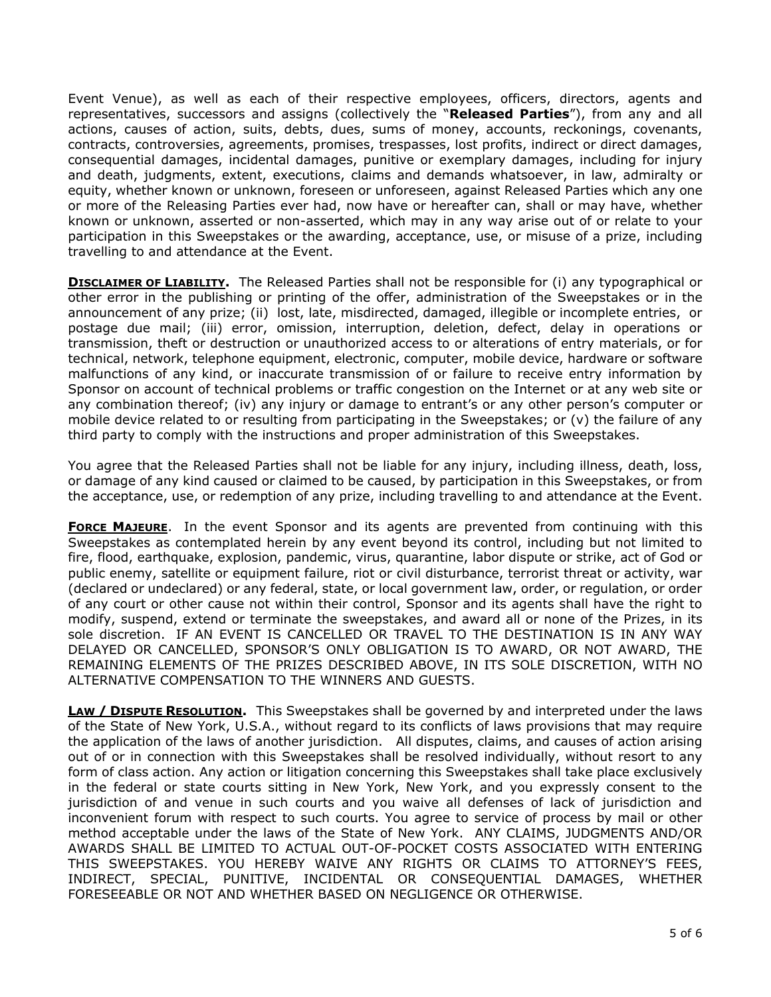Event Venue), as well as each of their respective employees, officers, directors, agents and representatives, successors and assigns (collectively the "**Released Parties**"), from any and all actions, causes of action, suits, debts, dues, sums of money, accounts, reckonings, covenants, contracts, controversies, agreements, promises, trespasses, lost profits, indirect or direct damages, consequential damages, incidental damages, punitive or exemplary damages, including for injury and death, judgments, extent, executions, claims and demands whatsoever, in law, admiralty or equity, whether known or unknown, foreseen or unforeseen, against Released Parties which any one or more of the Releasing Parties ever had, now have or hereafter can, shall or may have, whether known or unknown, asserted or non-asserted, which may in any way arise out of or relate to your participation in this Sweepstakes or the awarding, acceptance, use, or misuse of a prize, including travelling to and attendance at the Event.

**DISCLAIMER OF LIABILITY.** The Released Parties shall not be responsible for (i) any typographical or other error in the publishing or printing of the offer, administration of the Sweepstakes or in the announcement of any prize; (ii) lost, late, misdirected, damaged, illegible or incomplete entries, or postage due mail; (iii) error, omission, interruption, deletion, defect, delay in operations or transmission, theft or destruction or unauthorized access to or alterations of entry materials, or for technical, network, telephone equipment, electronic, computer, mobile device, hardware or software malfunctions of any kind, or inaccurate transmission of or failure to receive entry information by Sponsor on account of technical problems or traffic congestion on the Internet or at any web site or any combination thereof; (iv) any injury or damage to entrant's or any other person's computer or mobile device related to or resulting from participating in the Sweepstakes; or (v) the failure of any third party to comply with the instructions and proper administration of this Sweepstakes.

You agree that the Released Parties shall not be liable for any injury, including illness, death, loss, or damage of any kind caused or claimed to be caused, by participation in this Sweepstakes, or from the acceptance, use, or redemption of any prize, including travelling to and attendance at the Event.

**FORCE MAJEURE**. In the event Sponsor and its agents are prevented from continuing with this Sweepstakes as contemplated herein by any event beyond its control, including but not limited to fire, flood, earthquake, explosion, pandemic, virus, quarantine, labor dispute or strike, act of God or public enemy, satellite or equipment failure, riot or civil disturbance, terrorist threat or activity, war (declared or undeclared) or any federal, state, or local government law, order, or regulation, or order of any court or other cause not within their control, Sponsor and its agents shall have the right to modify, suspend, extend or terminate the sweepstakes, and award all or none of the Prizes, in its sole discretion. IF AN EVENT IS CANCELLED OR TRAVEL TO THE DESTINATION IS IN ANY WAY DELAYED OR CANCELLED, SPONSOR'S ONLY OBLIGATION IS TO AWARD, OR NOT AWARD, THE REMAINING ELEMENTS OF THE PRIZES DESCRIBED ABOVE, IN ITS SOLE DISCRETION, WITH NO ALTERNATIVE COMPENSATION TO THE WINNERS AND GUESTS.

**LAW / DISPUTE RESOLUTION.** This Sweepstakes shall be governed by and interpreted under the laws of the State of New York, U.S.A., without regard to its conflicts of laws provisions that may require the application of the laws of another jurisdiction. All disputes, claims, and causes of action arising out of or in connection with this Sweepstakes shall be resolved individually, without resort to any form of class action. Any action or litigation concerning this Sweepstakes shall take place exclusively in the federal or state courts sitting in New York, New York, and you expressly consent to the jurisdiction of and venue in such courts and you waive all defenses of lack of jurisdiction and inconvenient forum with respect to such courts. You agree to service of process by mail or other method acceptable under the laws of the State of New York. ANY CLAIMS, JUDGMENTS AND/OR AWARDS SHALL BE LIMITED TO ACTUAL OUT-OF-POCKET COSTS ASSOCIATED WITH ENTERING THIS SWEEPSTAKES. YOU HEREBY WAIVE ANY RIGHTS OR CLAIMS TO ATTORNEY'S FEES, INDIRECT, SPECIAL, PUNITIVE, INCIDENTAL OR CONSEQUENTIAL DAMAGES, WHETHER FORESEEABLE OR NOT AND WHETHER BASED ON NEGLIGENCE OR OTHERWISE.